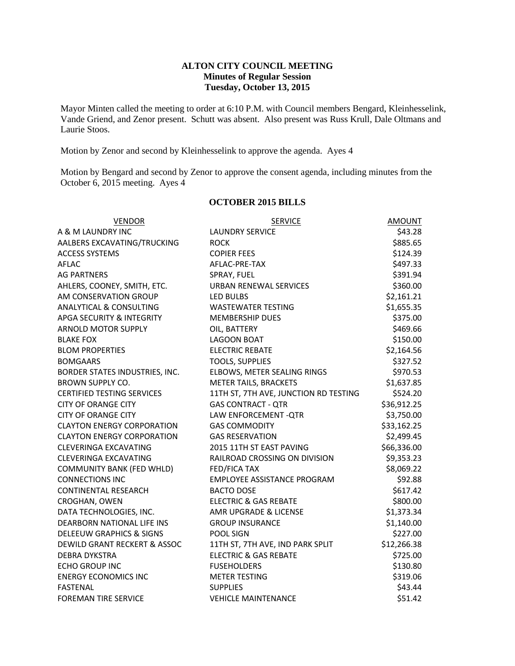## **ALTON CITY COUNCIL MEETING Minutes of Regular Session Tuesday, October 13, 2015**

Mayor Minten called the meeting to order at 6:10 P.M. with Council members Bengard, Kleinhesselink, Vande Griend, and Zenor present. Schutt was absent. Also present was Russ Krull, Dale Oltmans and Laurie Stoos.

Motion by Zenor and second by Kleinhesselink to approve the agenda. Ayes 4

Motion by Bengard and second by Zenor to approve the consent agenda, including minutes from the October 6, 2015 meeting. Ayes 4

#### **OCTOBER 2015 BILLS**

| <b>VENDOR</b>                       | <b>SERVICE</b>                        | <b>AMOUNT</b> |
|-------------------------------------|---------------------------------------|---------------|
| A & M LAUNDRY INC                   | <b>LAUNDRY SERVICE</b>                | \$43.28       |
| AALBERS EXCAVATING/TRUCKING         | <b>ROCK</b>                           | \$885.65      |
| <b>ACCESS SYSTEMS</b>               | <b>COPIER FEES</b>                    | \$124.39      |
| <b>AFLAC</b>                        | AFLAC-PRE-TAX                         | \$497.33      |
| <b>AG PARTNERS</b>                  | SPRAY, FUEL                           | \$391.94      |
| AHLERS, COONEY, SMITH, ETC.         | <b>URBAN RENEWAL SERVICES</b>         | \$360.00      |
| AM CONSERVATION GROUP               | LED BULBS                             | \$2,161.21    |
| <b>ANALYTICAL &amp; CONSULTING</b>  | <b>WASTEWATER TESTING</b>             | \$1,655.35    |
| APGA SECURITY & INTEGRITY           | <b>MEMBERSHIP DUES</b>                | \$375.00      |
| <b>ARNOLD MOTOR SUPPLY</b>          | OIL, BATTERY                          | \$469.66      |
| <b>BLAKE FOX</b>                    | <b>LAGOON BOAT</b>                    | \$150.00      |
| <b>BLOM PROPERTIES</b>              | <b>ELECTRIC REBATE</b>                | \$2,164.56    |
| <b>BOMGAARS</b>                     | <b>TOOLS, SUPPLIES</b>                | \$327.52      |
| BORDER STATES INDUSTRIES, INC.      | ELBOWS, METER SEALING RINGS           | \$970.53      |
| <b>BROWN SUPPLY CO.</b>             | <b>METER TAILS, BRACKETS</b>          | \$1,637.85    |
| <b>CERTIFIED TESTING SERVICES</b>   | 11TH ST, 7TH AVE, JUNCTION RD TESTING | \$524.20      |
| <b>CITY OF ORANGE CITY</b>          | <b>GAS CONTRACT - QTR</b>             | \$36,912.25   |
| <b>CITY OF ORANGE CITY</b>          | LAW ENFORCEMENT - QTR                 | \$3,750.00    |
| <b>CLAYTON ENERGY CORPORATION</b>   | <b>GAS COMMODITY</b>                  | \$33,162.25   |
| <b>CLAYTON ENERGY CORPORATION</b>   | <b>GAS RESERVATION</b>                | \$2,499.45    |
| <b>CLEVERINGA EXCAVATING</b>        | 2015 11TH ST EAST PAVING              | \$66,336.00   |
| <b>CLEVERINGA EXCAVATING</b>        | RAILROAD CROSSING ON DIVISION         | \$9,353.23    |
| <b>COMMUNITY BANK (FED WHLD)</b>    | <b>FED/FICA TAX</b>                   | \$8,069.22    |
| <b>CONNECTIONS INC</b>              | <b>EMPLOYEE ASSISTANCE PROGRAM</b>    | \$92.88       |
| <b>CONTINENTAL RESEARCH</b>         | <b>BACTO DOSE</b>                     | \$617.42      |
| CROGHAN, OWEN                       | <b>ELECTRIC &amp; GAS REBATE</b>      | \$800.00      |
| DATA TECHNOLOGIES, INC.             | AMR UPGRADE & LICENSE                 | \$1,373.34    |
| DEARBORN NATIONAL LIFE INS          | <b>GROUP INSURANCE</b>                | \$1,140.00    |
| <b>DELEEUW GRAPHICS &amp; SIGNS</b> | POOL SIGN                             | \$227.00      |
| DEWILD GRANT RECKERT & ASSOC        | 11TH ST, 7TH AVE, IND PARK SPLIT      | \$12,266.38   |
| <b>DEBRA DYKSTRA</b>                | <b>ELECTRIC &amp; GAS REBATE</b>      | \$725.00      |
| <b>ECHO GROUP INC</b>               | <b>FUSEHOLDERS</b>                    | \$130.80      |
| <b>ENERGY ECONOMICS INC</b>         | <b>METER TESTING</b>                  | \$319.06      |
| <b>FASTENAL</b>                     | <b>SUPPLIES</b>                       | \$43.44       |
| <b>FOREMAN TIRE SERVICE</b>         | <b>VEHICLE MAINTENANCE</b>            | \$51.42       |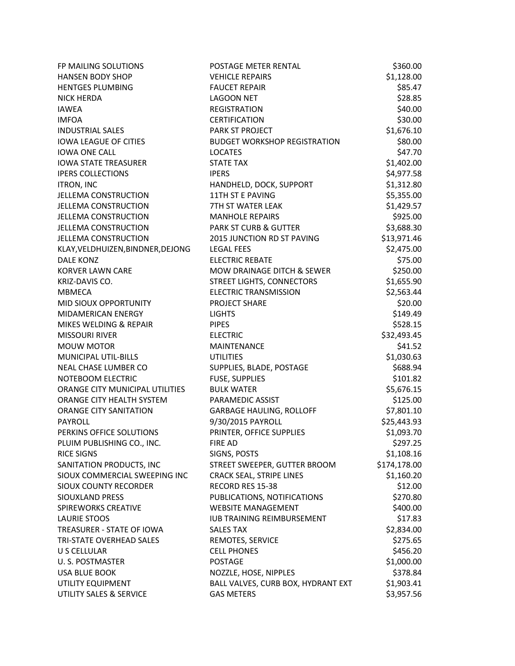| FP MAILING SOLUTIONS              | POSTAGE METER RENTAL                | \$360.00     |
|-----------------------------------|-------------------------------------|--------------|
| <b>HANSEN BODY SHOP</b>           | <b>VEHICLE REPAIRS</b>              | \$1,128.00   |
| <b>HENTGES PLUMBING</b>           | <b>FAUCET REPAIR</b>                | \$85.47      |
| <b>NICK HERDA</b>                 | <b>LAGOON NET</b>                   | \$28.85      |
| <b>IAWEA</b>                      | <b>REGISTRATION</b>                 | \$40.00      |
| <b>IMFOA</b>                      | <b>CERTIFICATION</b>                | \$30.00      |
| <b>INDUSTRIAL SALES</b>           | PARK ST PROJECT                     | \$1,676.10   |
| <b>IOWA LEAGUE OF CITIES</b>      | <b>BUDGET WORKSHOP REGISTRATION</b> | \$80.00      |
| <b>IOWA ONE CALL</b>              | <b>LOCATES</b>                      | \$47.70      |
| <b>IOWA STATE TREASURER</b>       | <b>STATE TAX</b>                    | \$1,402.00   |
| <b>IPERS COLLECTIONS</b>          | <b>IPERS</b>                        | \$4,977.58   |
| <b>ITRON, INC</b>                 | HANDHELD, DOCK, SUPPORT             | \$1,312.80   |
| JELLEMA CONSTRUCTION              | 11TH ST E PAVING                    | \$5,355.00   |
| <b>JELLEMA CONSTRUCTION</b>       | 7TH ST WATER LEAK                   | \$1,429.57   |
| <b>JELLEMA CONSTRUCTION</b>       | <b>MANHOLE REPAIRS</b>              | \$925.00     |
| JELLEMA CONSTRUCTION              | <b>PARK ST CURB &amp; GUTTER</b>    | \$3,688.30   |
| <b>JELLEMA CONSTRUCTION</b>       | 2015 JUNCTION RD ST PAVING          | \$13,971.46  |
| KLAY, VELDHUIZEN, BINDNER, DEJONG | <b>LEGAL FEES</b>                   | \$2,475.00   |
| <b>DALE KONZ</b>                  | <b>ELECTRIC REBATE</b>              | \$75.00      |
| <b>KORVER LAWN CARE</b>           | MOW DRAINAGE DITCH & SEWER          | \$250.00     |
| KRIZ-DAVIS CO.                    | STREET LIGHTS, CONNECTORS           | \$1,655.90   |
| <b>MBMECA</b>                     | <b>ELECTRIC TRANSMISSION</b>        | \$2,563.44   |
| MID SIOUX OPPORTUNITY             | PROJECT SHARE                       | \$20.00      |
| MIDAMERICAN ENERGY                | <b>LIGHTS</b>                       | \$149.49     |
| MIKES WELDING & REPAIR            | <b>PIPES</b>                        | \$528.15     |
| <b>MISSOURI RIVER</b>             | <b>ELECTRIC</b>                     | \$32,493.45  |
| MOUW MOTOR                        | <b>MAINTENANCE</b>                  | \$41.52      |
| MUNICIPAL UTIL-BILLS              | <b>UTILITIES</b>                    | \$1,030.63   |
| NEAL CHASE LUMBER CO              | SUPPLIES, BLADE, POSTAGE            | \$688.94     |
| NOTEBOOM ELECTRIC                 | FUSE, SUPPLIES                      | \$101.82     |
| ORANGE CITY MUNICIPAL UTILITIES   | <b>BULK WATER</b>                   | \$5,676.15   |
| ORANGE CITY HEALTH SYSTEM         | PARAMEDIC ASSIST                    | \$125.00     |
| <b>ORANGE CITY SANITATION</b>     | <b>GARBAGE HAULING, ROLLOFF</b>     | \$7,801.10   |
| PAYROLL                           | 9/30/2015 PAYROLL                   | \$25,443.93  |
| PERKINS OFFICE SOLUTIONS          | PRINTER, OFFICE SUPPLIES            | \$1,093.70   |
| PLUIM PUBLISHING CO., INC.        | <b>FIRE AD</b>                      | \$297.25     |
| <b>RICE SIGNS</b>                 | SIGNS, POSTS                        | \$1,108.16   |
| SANITATION PRODUCTS, INC          | STREET SWEEPER, GUTTER BROOM        | \$174,178.00 |
| SIOUX COMMERCIAL SWEEPING INC     | <b>CRACK SEAL, STRIPE LINES</b>     | \$1,160.20   |
| SIOUX COUNTY RECORDER             | RECORD RES 15-38                    | \$12.00      |
| SIOUXLAND PRESS                   | PUBLICATIONS, NOTIFICATIONS         | \$270.80     |
| <b>SPIREWORKS CREATIVE</b>        | <b>WEBSITE MANAGEMENT</b>           | \$400.00     |
| <b>LAURIE STOOS</b>               | <b>IUB TRAINING REIMBURSEMENT</b>   | \$17.83      |
| TREASURER - STATE OF IOWA         | <b>SALES TAX</b>                    | \$2,834.00   |
| TRI-STATE OVERHEAD SALES          | REMOTES, SERVICE                    | \$275.65     |
| U S CELLULAR                      | <b>CELL PHONES</b>                  | \$456.20     |
| U. S. POSTMASTER                  | <b>POSTAGE</b>                      | \$1,000.00   |
| <b>USA BLUE BOOK</b>              | NOZZLE, HOSE, NIPPLES               | \$378.84     |
| UTILITY EQUIPMENT                 | BALL VALVES, CURB BOX, HYDRANT EXT  | \$1,903.41   |
| UTILITY SALES & SERVICE           | <b>GAS METERS</b>                   | \$3,957.56   |
|                                   |                                     |              |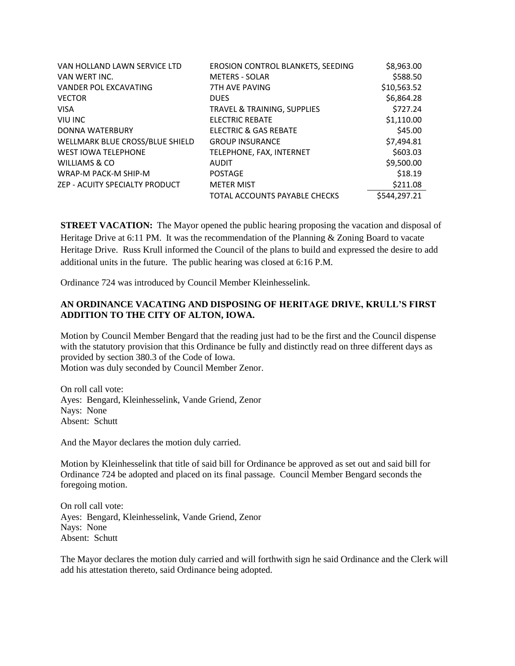| VAN HOLLAND LAWN SERVICE LTD    | <b>EROSION CONTROL BLANKETS, SEEDING</b> | \$8,963.00   |
|---------------------------------|------------------------------------------|--------------|
| VAN WERT INC.                   | <b>METERS - SOLAR</b>                    | \$588.50     |
| <b>VANDER POL EXCAVATING</b>    | <b>7TH AVE PAVING</b>                    | \$10,563.52  |
| <b>VECTOR</b>                   | <b>DUES</b>                              | \$6,864.28   |
| <b>VISA</b>                     | <b>TRAVEL &amp; TRAINING, SUPPLIES</b>   | \$727.24     |
| <b>VIU INC</b>                  | <b>ELECTRIC REBATE</b>                   | \$1,110.00   |
| DONNA WATERBURY                 | <b>ELECTRIC &amp; GAS REBATE</b>         | \$45.00      |
| WELLMARK BLUE CROSS/BLUE SHIELD | <b>GROUP INSURANCE</b>                   | \$7,494.81   |
| <b>WEST IOWA TELEPHONE</b>      | TELEPHONE, FAX, INTERNET                 | \$603.03     |
| WILLIAMS & CO                   | <b>AUDIT</b>                             | \$9,500.00   |
| WRAP-M PACK-M SHIP-M            | <b>POSTAGE</b>                           | \$18.19      |
| ZEP - ACUITY SPECIALTY PRODUCT  | <b>METER MIST</b>                        | \$211.08     |
|                                 | TOTAL ACCOUNTS PAYABLE CHECKS            | \$544,297.21 |

**STREET VACATION:** The Mayor opened the public hearing proposing the vacation and disposal of Heritage Drive at 6:11 PM. It was the recommendation of the Planning & Zoning Board to vacate Heritage Drive. Russ Krull informed the Council of the plans to build and expressed the desire to add additional units in the future. The public hearing was closed at 6:16 P.M.

Ordinance 724 was introduced by Council Member Kleinhesselink.

# **AN ORDINANCE VACATING AND DISPOSING OF HERITAGE DRIVE, KRULL'S FIRST ADDITION TO THE CITY OF ALTON, IOWA.**

Motion by Council Member Bengard that the reading just had to be the first and the Council dispense with the statutory provision that this Ordinance be fully and distinctly read on three different days as provided by section 380.3 of the Code of Iowa. Motion was duly seconded by Council Member Zenor.

On roll call vote: Ayes: Bengard, Kleinhesselink, Vande Griend, Zenor Nays: None Absent: Schutt

And the Mayor declares the motion duly carried.

Motion by Kleinhesselink that title of said bill for Ordinance be approved as set out and said bill for Ordinance 724 be adopted and placed on its final passage. Council Member Bengard seconds the foregoing motion.

On roll call vote: Ayes: Bengard, Kleinhesselink, Vande Griend, Zenor Nays: None Absent: Schutt

The Mayor declares the motion duly carried and will forthwith sign he said Ordinance and the Clerk will add his attestation thereto, said Ordinance being adopted.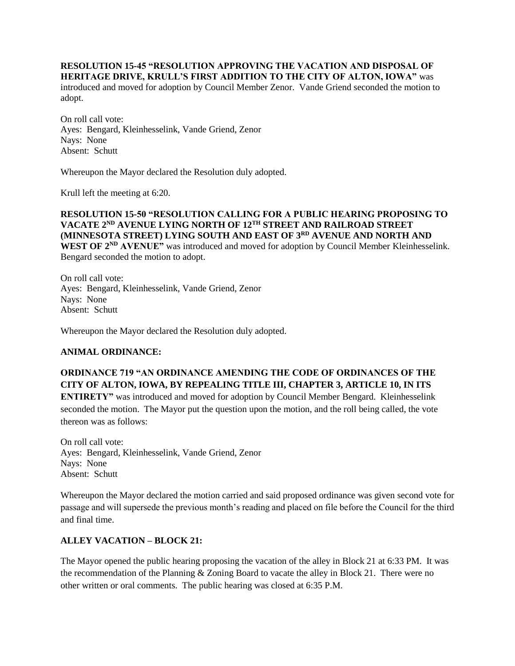#### **RESOLUTION 15-45 "RESOLUTION APPROVING THE VACATION AND DISPOSAL OF HERITAGE DRIVE, KRULL'S FIRST ADDITION TO THE CITY OF ALTON, IOWA"** was

introduced and moved for adoption by Council Member Zenor. Vande Griend seconded the motion to adopt.

On roll call vote: Ayes: Bengard, Kleinhesselink, Vande Griend, Zenor Nays: None Absent: Schutt

Whereupon the Mayor declared the Resolution duly adopted.

Krull left the meeting at 6:20.

## **RESOLUTION 15-50 "RESOLUTION CALLING FOR A PUBLIC HEARING PROPOSING TO VACATE 2ND AVENUE LYING NORTH OF 12TH STREET AND RAILROAD STREET (MINNESOTA STREET) LYING SOUTH AND EAST OF 3RD AVENUE AND NORTH AND WEST OF 2ND AVENUE"** was introduced and moved for adoption by Council Member Kleinhesselink.

Bengard seconded the motion to adopt.

On roll call vote: Ayes: Bengard, Kleinhesselink, Vande Griend, Zenor Nays: None Absent: Schutt

Whereupon the Mayor declared the Resolution duly adopted.

## **ANIMAL ORDINANCE:**

# **ORDINANCE 719 "AN ORDINANCE AMENDING THE CODE OF ORDINANCES OF THE CITY OF ALTON, IOWA, BY REPEALING TITLE III, CHAPTER 3, ARTICLE 10, IN ITS**

**ENTIRETY"** was introduced and moved for adoption by Council Member Bengard. Kleinhesselink seconded the motion. The Mayor put the question upon the motion, and the roll being called, the vote thereon was as follows:

On roll call vote: Ayes: Bengard, Kleinhesselink, Vande Griend, Zenor Nays: None Absent: Schutt

Whereupon the Mayor declared the motion carried and said proposed ordinance was given second vote for passage and will supersede the previous month's reading and placed on file before the Council for the third and final time.

# **ALLEY VACATION – BLOCK 21:**

The Mayor opened the public hearing proposing the vacation of the alley in Block 21 at 6:33 PM. It was the recommendation of the Planning & Zoning Board to vacate the alley in Block 21. There were no other written or oral comments. The public hearing was closed at 6:35 P.M.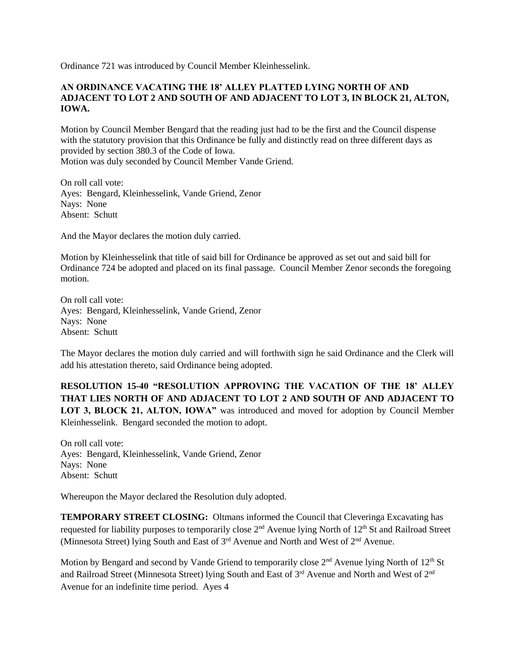Ordinance 721 was introduced by Council Member Kleinhesselink.

# **AN ORDINANCE VACATING THE 18' ALLEY PLATTED LYING NORTH OF AND ADJACENT TO LOT 2 AND SOUTH OF AND ADJACENT TO LOT 3, IN BLOCK 21, ALTON, IOWA.**

Motion by Council Member Bengard that the reading just had to be the first and the Council dispense with the statutory provision that this Ordinance be fully and distinctly read on three different days as provided by section 380.3 of the Code of Iowa. Motion was duly seconded by Council Member Vande Griend.

On roll call vote: Ayes: Bengard, Kleinhesselink, Vande Griend, Zenor Nays: None Absent: Schutt

And the Mayor declares the motion duly carried.

Motion by Kleinhesselink that title of said bill for Ordinance be approved as set out and said bill for Ordinance 724 be adopted and placed on its final passage. Council Member Zenor seconds the foregoing motion.

On roll call vote: Ayes: Bengard, Kleinhesselink, Vande Griend, Zenor Nays: None Absent: Schutt

The Mayor declares the motion duly carried and will forthwith sign he said Ordinance and the Clerk will add his attestation thereto, said Ordinance being adopted.

**RESOLUTION 15-40 "RESOLUTION APPROVING THE VACATION OF THE 18' ALLEY THAT LIES NORTH OF AND ADJACENT TO LOT 2 AND SOUTH OF AND ADJACENT TO LOT 3, BLOCK 21, ALTON, IOWA"** was introduced and moved for adoption by Council Member Kleinhesselink. Bengard seconded the motion to adopt.

On roll call vote: Ayes: Bengard, Kleinhesselink, Vande Griend, Zenor Nays: None Absent: Schutt

Whereupon the Mayor declared the Resolution duly adopted.

**TEMPORARY STREET CLOSING:** Oltmans informed the Council that Cleveringa Excavating has requested for liability purposes to temporarily close  $2<sup>nd</sup>$  Avenue lying North of  $12<sup>th</sup>$  St and Railroad Street (Minnesota Street) lying South and East of 3rd Avenue and North and West of 2nd Avenue.

Motion by Bengard and second by Vande Griend to temporarily close  $2<sup>nd</sup>$  Avenue lying North of  $12<sup>th</sup>$  St and Railroad Street (Minnesota Street) lying South and East of 3<sup>rd</sup> Avenue and North and West of 2<sup>nd</sup> Avenue for an indefinite time period. Ayes 4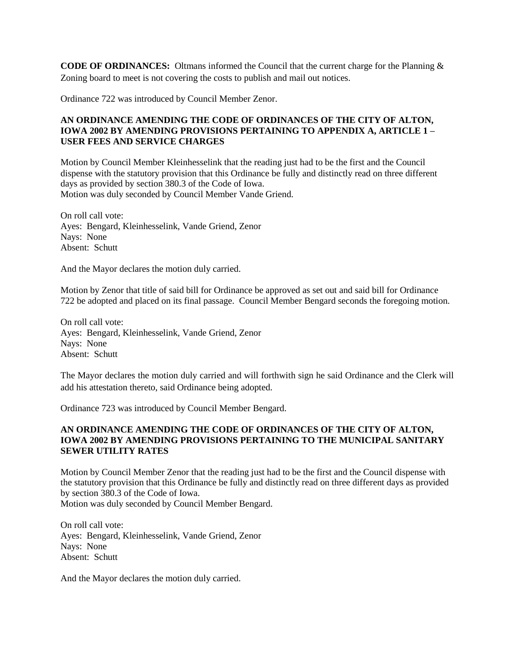**CODE OF ORDINANCES:** Oltmans informed the Council that the current charge for the Planning & Zoning board to meet is not covering the costs to publish and mail out notices.

Ordinance 722 was introduced by Council Member Zenor.

# **AN ORDINANCE AMENDING THE CODE OF ORDINANCES OF THE CITY OF ALTON, IOWA 2002 BY AMENDING PROVISIONS PERTAINING TO APPENDIX A, ARTICLE 1 – USER FEES AND SERVICE CHARGES**

Motion by Council Member Kleinhesselink that the reading just had to be the first and the Council dispense with the statutory provision that this Ordinance be fully and distinctly read on three different days as provided by section 380.3 of the Code of Iowa. Motion was duly seconded by Council Member Vande Griend.

On roll call vote: Ayes: Bengard, Kleinhesselink, Vande Griend, Zenor Nays: None Absent: Schutt

And the Mayor declares the motion duly carried.

Motion by Zenor that title of said bill for Ordinance be approved as set out and said bill for Ordinance 722 be adopted and placed on its final passage. Council Member Bengard seconds the foregoing motion.

On roll call vote: Ayes: Bengard, Kleinhesselink, Vande Griend, Zenor Nays: None Absent: Schutt

The Mayor declares the motion duly carried and will forthwith sign he said Ordinance and the Clerk will add his attestation thereto, said Ordinance being adopted.

Ordinance 723 was introduced by Council Member Bengard.

## **AN ORDINANCE AMENDING THE CODE OF ORDINANCES OF THE CITY OF ALTON, IOWA 2002 BY AMENDING PROVISIONS PERTAINING TO THE MUNICIPAL SANITARY SEWER UTILITY RATES**

Motion by Council Member Zenor that the reading just had to be the first and the Council dispense with the statutory provision that this Ordinance be fully and distinctly read on three different days as provided by section 380.3 of the Code of Iowa.

Motion was duly seconded by Council Member Bengard.

On roll call vote: Ayes: Bengard, Kleinhesselink, Vande Griend, Zenor Nays: None Absent: Schutt

And the Mayor declares the motion duly carried.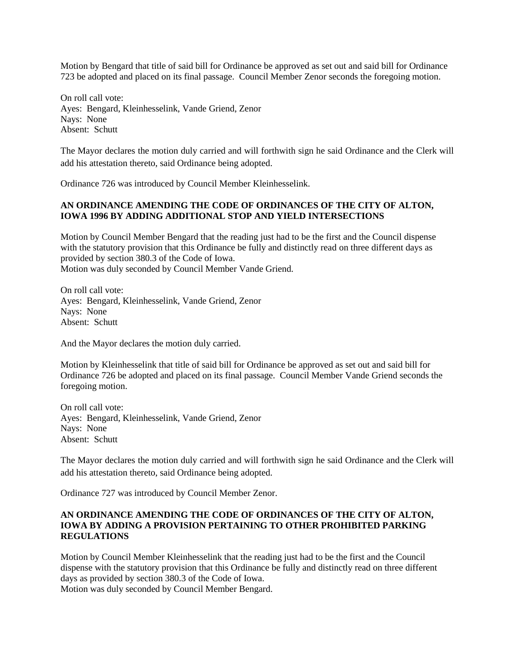Motion by Bengard that title of said bill for Ordinance be approved as set out and said bill for Ordinance 723 be adopted and placed on its final passage. Council Member Zenor seconds the foregoing motion.

On roll call vote: Ayes: Bengard, Kleinhesselink, Vande Griend, Zenor Nays: None Absent: Schutt

The Mayor declares the motion duly carried and will forthwith sign he said Ordinance and the Clerk will add his attestation thereto, said Ordinance being adopted.

Ordinance 726 was introduced by Council Member Kleinhesselink.

# **AN ORDINANCE AMENDING THE CODE OF ORDINANCES OF THE CITY OF ALTON, IOWA 1996 BY ADDING ADDITIONAL STOP AND YIELD INTERSECTIONS**

Motion by Council Member Bengard that the reading just had to be the first and the Council dispense with the statutory provision that this Ordinance be fully and distinctly read on three different days as provided by section 380.3 of the Code of Iowa.

Motion was duly seconded by Council Member Vande Griend.

On roll call vote: Ayes: Bengard, Kleinhesselink, Vande Griend, Zenor Nays: None Absent: Schutt

And the Mayor declares the motion duly carried.

Motion by Kleinhesselink that title of said bill for Ordinance be approved as set out and said bill for Ordinance 726 be adopted and placed on its final passage. Council Member Vande Griend seconds the foregoing motion.

On roll call vote: Ayes: Bengard, Kleinhesselink, Vande Griend, Zenor Nays: None Absent: Schutt

The Mayor declares the motion duly carried and will forthwith sign he said Ordinance and the Clerk will add his attestation thereto, said Ordinance being adopted.

Ordinance 727 was introduced by Council Member Zenor.

## **AN ORDINANCE AMENDING THE CODE OF ORDINANCES OF THE CITY OF ALTON, IOWA BY ADDING A PROVISION PERTAINING TO OTHER PROHIBITED PARKING REGULATIONS**

Motion by Council Member Kleinhesselink that the reading just had to be the first and the Council dispense with the statutory provision that this Ordinance be fully and distinctly read on three different days as provided by section 380.3 of the Code of Iowa.

Motion was duly seconded by Council Member Bengard.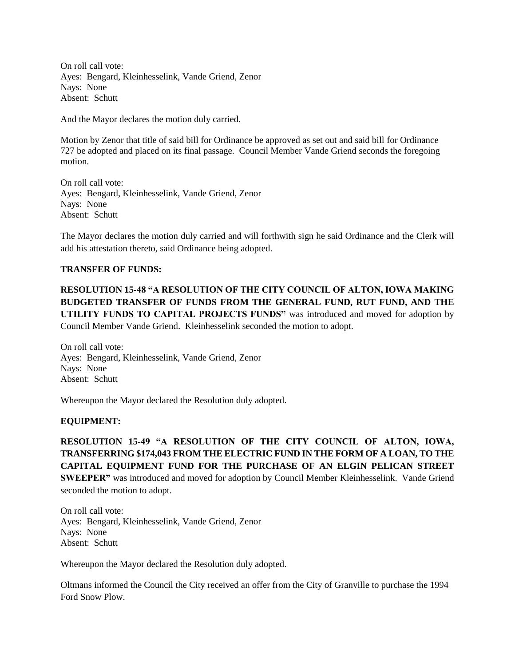On roll call vote: Ayes: Bengard, Kleinhesselink, Vande Griend, Zenor Nays: None Absent: Schutt

And the Mayor declares the motion duly carried.

Motion by Zenor that title of said bill for Ordinance be approved as set out and said bill for Ordinance 727 be adopted and placed on its final passage. Council Member Vande Griend seconds the foregoing motion.

On roll call vote: Ayes: Bengard, Kleinhesselink, Vande Griend, Zenor Nays: None Absent: Schutt

The Mayor declares the motion duly carried and will forthwith sign he said Ordinance and the Clerk will add his attestation thereto, said Ordinance being adopted.

#### **TRANSFER OF FUNDS:**

**RESOLUTION 15-48 "A RESOLUTION OF THE CITY COUNCIL OF ALTON, IOWA MAKING BUDGETED TRANSFER OF FUNDS FROM THE GENERAL FUND, RUT FUND, AND THE UTILITY FUNDS TO CAPITAL PROJECTS FUNDS"** was introduced and moved for adoption by Council Member Vande Griend. Kleinhesselink seconded the motion to adopt.

On roll call vote: Ayes: Bengard, Kleinhesselink, Vande Griend, Zenor Nays: None Absent: Schutt

Whereupon the Mayor declared the Resolution duly adopted.

## **EQUIPMENT:**

**RESOLUTION 15-49 "A RESOLUTION OF THE CITY COUNCIL OF ALTON, IOWA, TRANSFERRING \$174,043 FROM THE ELECTRIC FUND IN THE FORM OF A LOAN, TO THE CAPITAL EQUIPMENT FUND FOR THE PURCHASE OF AN ELGIN PELICAN STREET SWEEPER"** was introduced and moved for adoption by Council Member Kleinhesselink. Vande Griend seconded the motion to adopt.

On roll call vote: Ayes: Bengard, Kleinhesselink, Vande Griend, Zenor Nays: None Absent: Schutt

Whereupon the Mayor declared the Resolution duly adopted.

Oltmans informed the Council the City received an offer from the City of Granville to purchase the 1994 Ford Snow Plow.